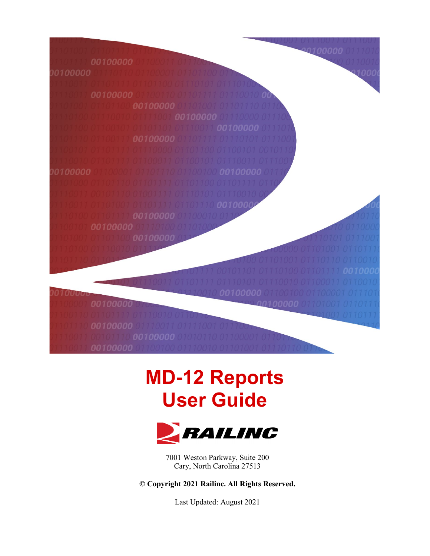100000

00100000 00100000 00100000 0100000 nn 1 nn 00100000 00100000 00100000 00100000

# **MD-12 Reports User Guide**



7001 Weston Parkway, Suite 200 Cary, North Carolina 27513

**© Copyright 2021 Railinc. All Rights Reserved.**

Last Updated: August 2021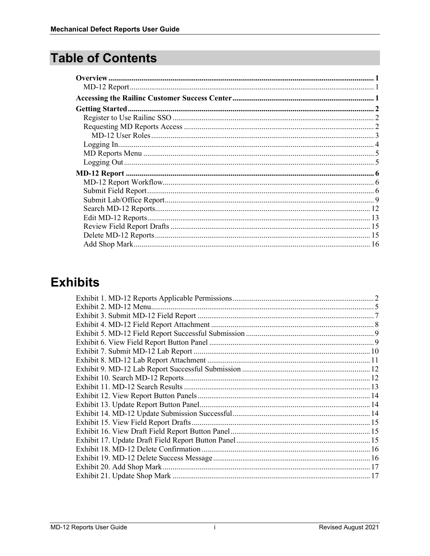# **Table of Contents**

# **Exhibits**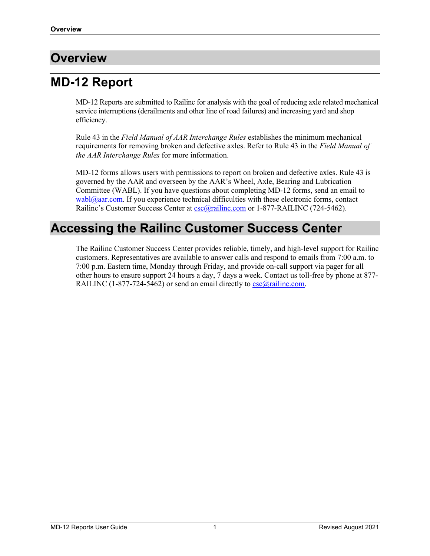### <span id="page-2-0"></span>**Overview**

### <span id="page-2-1"></span>**MD-12 Report**

MD-12 Reports are submitted to Railinc for analysis with the goal of reducing axle related mechanical service interruptions (derailments and other line of road failures) and increasing yard and shop efficiency.

Rule 43 in the *Field Manual of AAR Interchange Rules* establishes the minimum mechanical requirements for removing broken and defective axles. Refer to Rule 43 in the *Field Manual of the AAR Interchange Rules* for more information.

MD-12 forms allows users with permissions to report on broken and defective axles. Rule 43 is governed by the AAR and overseen by the AAR's Wheel, Axle, Bearing and Lubrication Committee (WABL). If you have questions about completing MD-12 forms, send an email to  $wabl(\partial_{\alpha}ar.com.$  If you experience technical difficulties with these electronic forms, contact Railinc's Customer Success Center at [csc@railinc.com](mailto:csc@railinc.com) or 1-877-RAILINC (724-5462).

### <span id="page-2-2"></span>**Accessing the Railinc Customer Success Center**

The Railinc Customer Success Center provides reliable, timely, and high-level support for Railinc customers. Representatives are available to answer calls and respond to emails from 7:00 a.m. to 7:00 p.m. Eastern time, Monday through Friday, and provide on-call support via pager for all other hours to ensure support 24 hours a day, 7 days a week. Contact us toll-free by phone at 877- RAILINC (1-877-724-5462) or send an email directly to  $\csc(\theta x)$  railinc.com.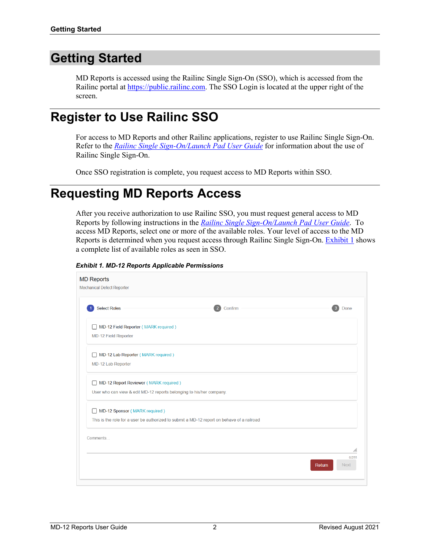### <span id="page-3-0"></span>**Getting Started**

MD Reports is accessed using the Railinc Single Sign-On (SSO), which is accessed from the Railinc portal a[t https://public.railinc.com.](https://public.railinc.com/) The SSO Login is located at the upper right of the screen.

### <span id="page-3-1"></span>**Register to Use Railinc SSO**

For access to MD Reports and other Railinc applications, register to use Railinc Single Sign-On. Refer to the *[Railinc Single Sign-On/Launch Pad User](https://public.railinc.com/sites/default/files/documents/SSOUserGuide.pdf) Guide* for information about the use of Railinc Single Sign-On.

Once SSO registration is complete, you request access to MD Reports within SSO.

### <span id="page-3-2"></span>**Requesting MD Reports Access**

After you receive authorization to use Railinc SSO, you must request general access to MD Reports by following instructions in the *[Railinc Single Sign-On/Launch Pad User Guide](https://public.railinc.com/sites/default/files/documents/SSOUserGuide.pdf)*. To access MD Reports, select one or more of the available roles. Your level of access to the MD Reports is determined when you request access through Railinc Single Sign-On. [Exhibit 1](#page-3-3) shows a complete list of available roles as seen in SSO.

<span id="page-3-3"></span>*Exhibit 1. MD-12 Reports Applicable Permissions*

| <b>MD Reports</b><br><b>Mechanical Defect Reporter</b>                                                                      |
|-----------------------------------------------------------------------------------------------------------------------------|
| <b>Select Roles</b><br>Confirm<br>3<br>Done                                                                                 |
| MD-12 Field Reporter (MARK required)<br>H<br>MD-12 Field Reporter                                                           |
| MD-12 Lab Reporter (MARK required)<br>MD-12 Lab Reporter                                                                    |
| MD-12 Report Reviewer (MARK required)<br>User who can view & edit MD-12 reports belonging to his/her company.               |
| MD-12 Sponsor (MARK required)<br>This is the role for a user be authorized to submit a MD-12 report on behave of a railroad |
| Comments                                                                                                                    |
| /h.<br>0/255<br><b>Next</b><br>Return                                                                                       |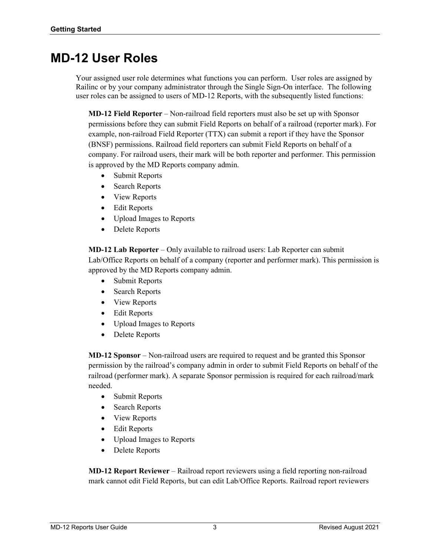### <span id="page-4-0"></span>**MD-12 User Roles**

Your assigned user role determines what functions you can perform. User roles are assigned by Railinc or by your company administrator through the Single Sign-On interface. The following user roles can be assigned to users of MD-12 Reports, with the subsequently listed functions:

**MD-12 Field Reporter** – Non-railroad field reporters must also be set up with Sponsor permissions before they can submit Field Reports on behalf of a railroad (reporter mark). For example, non-railroad Field Reporter (TTX) can submit a report if they have the Sponsor (BNSF) permissions. Railroad field reporters can submit Field Reports on behalf of a company. For railroad users, their mark will be both reporter and performer. This permission is approved by the MD Reports company admin.

- Submit Reports
- Search Reports
- View Reports
- Edit Reports
- Upload Images to Reports
- Delete Reports

**MD-12 Lab Reporter** – Only available to railroad users: Lab Reporter can submit Lab/Office Reports on behalf of a company (reporter and performer mark). This permission is approved by the MD Reports company admin.

- Submit Reports
- Search Reports
- View Reports
- Edit Reports
- Upload Images to Reports
- Delete Reports

**MD-12 Sponsor** – Non-railroad users are required to request and be granted this Sponsor permission by the railroad's company admin in order to submit Field Reports on behalf of the railroad (performer mark). A separate Sponsor permission is required for each railroad/mark needed.

- Submit Reports
- Search Reports
- View Reports
- Edit Reports
- Upload Images to Reports
- Delete Reports

**MD-12 Report Reviewer** – Railroad report reviewers using a field reporting non-railroad mark cannot edit Field Reports, but can edit Lab/Office Reports. Railroad report reviewers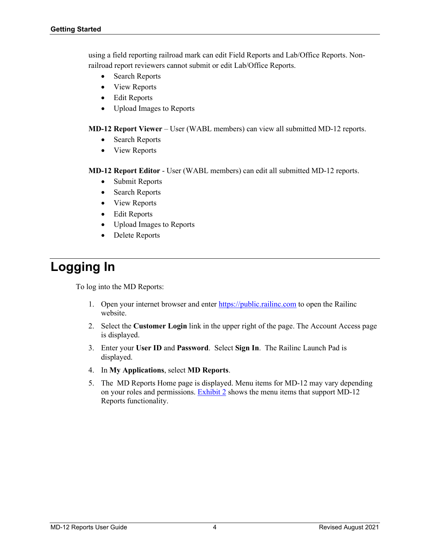using a field reporting railroad mark can edit Field Reports and Lab/Office Reports. Nonrailroad report reviewers cannot submit or edit Lab/Office Reports.

- Search Reports
- View Reports
- Edit Reports
- Upload Images to Reports

**MD-12 Report Viewer** – User (WABL members) can view all submitted MD-12 reports.

- Search Reports
- View Reports

**MD-12 Report Editor** - User (WABL members) can edit all submitted MD-12 reports.

- Submit Reports
- Search Reports
- View Reports
- Edit Reports
- Upload Images to Reports
- Delete Reports

### <span id="page-5-0"></span>**Logging In**

To log into the MD Reports:

- 1. Open your internet browser and enter [https://public.railinc.com](https://public.railinc.com/) to open the Railinc website.
- 2. Select the **Customer Login** link in the upper right of the page. The Account Access page is displayed.
- 3. Enter your **User ID** and **Password**. Select **Sign In**. The Railinc Launch Pad is displayed.
- 4. In **My Applications**, select **MD Reports**.
- 5. The MD Reports Home page is displayed. Menu items for MD-12 may vary depending on your roles and permissions. [Exhibit 2](#page-6-2) shows the menu items that support MD-12 Reports functionality.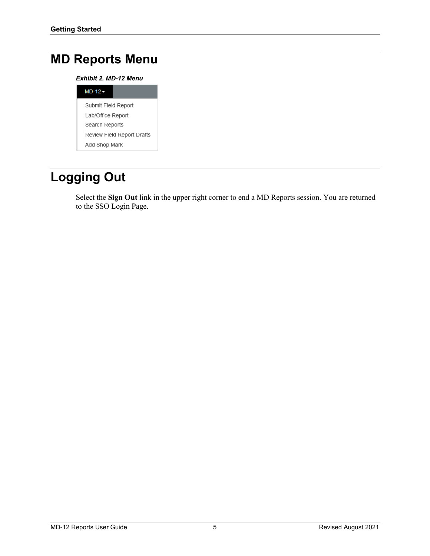# <span id="page-6-2"></span><span id="page-6-0"></span>**MD Reports Menu**

#### *Exhibit 2. MD-12 Menu*

| Submit Field Report        |
|----------------------------|
| Lab/Office Report          |
| Search Reports             |
| Review Field Report Drafts |
| Add Shop Mark              |
|                            |

## <span id="page-6-1"></span>**Logging Out**

Select the **Sign Out** link in the upper right corner to end a MD Reports session. You are returned to the SSO Login Page.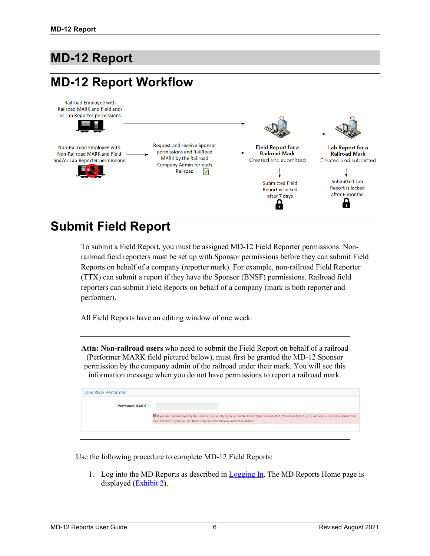# <span id="page-7-0"></span>**MD-12 Report**

# <span id="page-7-1"></span>**MD-12 Report Workflow**



### <span id="page-7-2"></span>**Submit Field Report**

To submit a Field Report, you must be assigned MD-12 Field Reporter permissions. Nonrailroad field reporters must be set up with Sponsor permissions before they can submit Field Reports on behalf of a company (reporter mark). For example, non-railroad Field Reporter (TTX) can submit a report if they have the Sponsor (BNSF) permissions. Railroad field reporters can submit Field Reports on behalf of a company (mark is both reporter and performer).

All Field Reports have an editing window of one week.

**Attn: Non-railroad users** who need to submit the Field Report on behalf of a railroad (Performer MARK field pictured below), must first be granted the MD-12 Sponsor permission by the company admin of the railroad under their mark. You will see this information message when you do not have permissions to report a railroad mark.

| Lab/Office Performer |                                                                                                                                                                                                                                     |
|----------------------|-------------------------------------------------------------------------------------------------------------------------------------------------------------------------------------------------------------------------------------|
| Performer MARK *     |                                                                                                                                                                                                                                     |
|                      | 16 If you are not employed by the Railroad you are trying to submit the Field Report on behalf of (Performer MARK), you will need a company admin from<br>that Railroad to grant you the MD-12 Sponsor Permission under their MARK. |
|                      |                                                                                                                                                                                                                                     |

Use the following procedure to complete MD-12 Field Reports:

1. Log into the MD Reports as described in [Logging In.](#page-5-0) The MD Reports Home page is displayed [\(Exhibit 2\)](#page-6-2).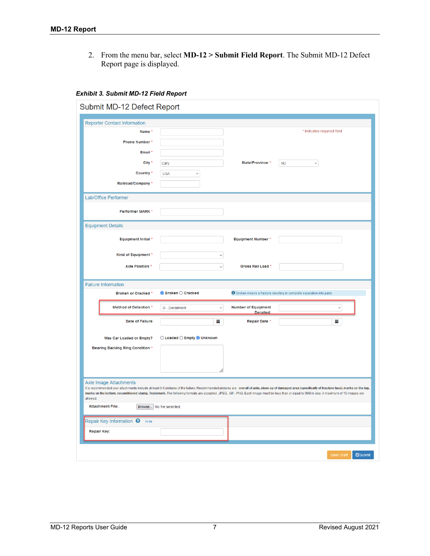2. From the menu bar, select **MD-12 > Submit Field Report**. The Submit MD-12 Defect Report page is displayed.

<span id="page-8-0"></span>*Exhibit 3. Submit MD-12 Field Report* 

| Submit MD-12 Defect Report                  |                                |                                         |                                                                                                                                                                                                                                                                                                                                                                                                         |
|---------------------------------------------|--------------------------------|-----------------------------------------|---------------------------------------------------------------------------------------------------------------------------------------------------------------------------------------------------------------------------------------------------------------------------------------------------------------------------------------------------------------------------------------------------------|
| <b>Reporter Contact Information</b>         |                                |                                         |                                                                                                                                                                                                                                                                                                                                                                                                         |
| Name *                                      |                                |                                         | * Indicates required field                                                                                                                                                                                                                                                                                                                                                                              |
| <b>Phone Number</b> *                       |                                |                                         |                                                                                                                                                                                                                                                                                                                                                                                                         |
| Email *                                     |                                |                                         |                                                                                                                                                                                                                                                                                                                                                                                                         |
| City *                                      | Cary                           | State/Province '                        | <b>NC</b><br>$\checkmark$                                                                                                                                                                                                                                                                                                                                                                               |
| Country *                                   | <b>USA</b><br>$\checkmark$     |                                         |                                                                                                                                                                                                                                                                                                                                                                                                         |
| Railroad/Company *                          |                                |                                         |                                                                                                                                                                                                                                                                                                                                                                                                         |
|                                             |                                |                                         |                                                                                                                                                                                                                                                                                                                                                                                                         |
| Lab/Office Performer                        |                                |                                         |                                                                                                                                                                                                                                                                                                                                                                                                         |
| <b>Performer MARK *</b>                     |                                |                                         |                                                                                                                                                                                                                                                                                                                                                                                                         |
| <b>Equipment Details</b>                    |                                |                                         |                                                                                                                                                                                                                                                                                                                                                                                                         |
|                                             |                                |                                         |                                                                                                                                                                                                                                                                                                                                                                                                         |
| <b>Equipment Initial *</b>                  |                                | <b>Equipment Number *</b>               |                                                                                                                                                                                                                                                                                                                                                                                                         |
| Kind of Equipment *                         |                                |                                         |                                                                                                                                                                                                                                                                                                                                                                                                         |
| <b>Axle Position *</b>                      | $\checkmark$                   | Gross Rail Load *                       |                                                                                                                                                                                                                                                                                                                                                                                                         |
|                                             |                                |                                         |                                                                                                                                                                                                                                                                                                                                                                                                         |
| <b>Failure Information</b>                  |                                |                                         |                                                                                                                                                                                                                                                                                                                                                                                                         |
| <b>Broken or Cracked *</b>                  | $\odot$ Broken $\odot$ Cracked |                                         | <b>O</b> Broken means a fracture resulting in complete separation into parts.                                                                                                                                                                                                                                                                                                                           |
| <b>Method of Detection *</b>                | D - Derailment<br>$\checkmark$ | <b>Number of Equipment</b><br>Derailed: | $\checkmark$                                                                                                                                                                                                                                                                                                                                                                                            |
| <b>Date of Failure</b>                      | 臝                              | Repair Date                             | 藟                                                                                                                                                                                                                                                                                                                                                                                                       |
|                                             |                                |                                         |                                                                                                                                                                                                                                                                                                                                                                                                         |
| Was Car Loaded or Empty?                    | ○ Loaded ○ Empty ● Unknown     |                                         |                                                                                                                                                                                                                                                                                                                                                                                                         |
| <b>Bearing Backing Ring Condition *</b>     |                                |                                         |                                                                                                                                                                                                                                                                                                                                                                                                         |
|                                             |                                |                                         |                                                                                                                                                                                                                                                                                                                                                                                                         |
|                                             |                                |                                         |                                                                                                                                                                                                                                                                                                                                                                                                         |
| <b>Axle Image Attachments</b><br>allowed.   |                                |                                         | It is recommended your attachments include at least 5-6 pictures of the failure. Recommended pictures are: overall of axle, close-up of damaged area (specifically of fracture face), marks on the top,<br>marks on the bottom, reconditioned stamp, Trademark. The following formats are accepted: .JPEG, .GIF, .PNG. Each image must be less than or equal to 5MB in size. A maximum of 15 images are |
| <b>Attachment File:</b>                     | Browse No file selected.       |                                         |                                                                                                                                                                                                                                                                                                                                                                                                         |
| Repair Key Information <sup>O</sup><br>Hide |                                |                                         |                                                                                                                                                                                                                                                                                                                                                                                                         |
| <b>Repair Key:</b>                          |                                |                                         |                                                                                                                                                                                                                                                                                                                                                                                                         |
|                                             |                                |                                         |                                                                                                                                                                                                                                                                                                                                                                                                         |
|                                             |                                |                                         | Save Draft<br><b>G</b> Submit                                                                                                                                                                                                                                                                                                                                                                           |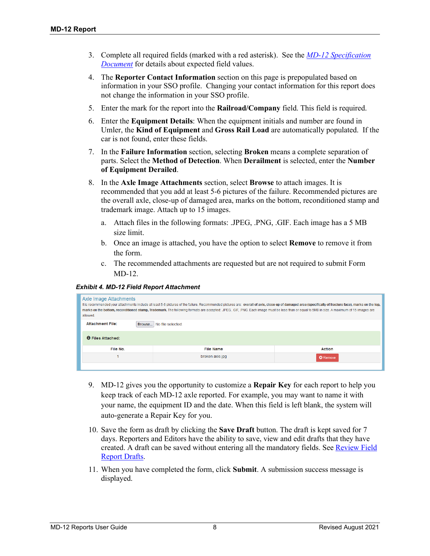- 3. Complete all required fields (marked with a red asterisk). See the *MD-12 [Specification](https://public.railinc.com/sites/default/files/documents/MD-12%20Spec%20Doc.xlsx)  [Document](https://public.railinc.com/sites/default/files/documents/MD-12%20Spec%20Doc.xlsx)* for details about expected field values.
- 4. The **Reporter Contact Information** section on this page is prepopulated based on information in your SSO profile. Changing your contact information for this report does not change the information in your SSO profile.
- 5. Enter the mark for the report into the **Railroad/Company** field. This field is required.
- 6. Enter the **Equipment Details**: When the equipment initials and number are found in Umler, the **Kind of Equipment** and **Gross Rail Load** are automatically populated. If the car is not found, enter these fields.
- 7. In the **Failure Information** section, selecting **Broken** means a complete separation of parts. Select the **Method of Detection**. When **Derailment** is selected, enter the **Number of Equipment Derailed**.
- 8. In the **Axle Image Attachments** section, select **Browse** to attach images. It is recommended that you add at least 5-6 pictures of the failure. Recommended pictures are the overall axle, close-up of damaged area, marks on the bottom, reconditioned stamp and trademark image. Attach up to 15 images.
	- a. Attach files in the following formats: .JPEG, .PNG, .GIF. Each image has a 5 MB size limit.
	- b. Once an image is attached, you have the option to select **Remove** to remove it from the form.
	- c. The recommended attachments are requested but are not required to submit Form MD-12.

<span id="page-9-0"></span>*Exhibit 4. MD-12 Field Report Attachment*

| <b>Axle Image Attachments</b><br>allowed. | It is recommended your attachments include at least 5-6 pictures of the failure. Recommended pictures are: overall of axle, close-up of damaged area (specifically of fracture face), marks on the top,<br>marks on the bottom, reconditioned stamp, Trademark. The following formats are accepted: JPEG, GIF, PNG. Each image must be less than or equal to 5MB in size. A maximum of 15 images are |                 |
|-------------------------------------------|------------------------------------------------------------------------------------------------------------------------------------------------------------------------------------------------------------------------------------------------------------------------------------------------------------------------------------------------------------------------------------------------------|-----------------|
| <b>Attachment File:</b>                   | Browse   No file selected.                                                                                                                                                                                                                                                                                                                                                                           |                 |
| <b>O</b> Files Attached:                  |                                                                                                                                                                                                                                                                                                                                                                                                      |                 |
| File No.                                  | <b>File Name</b>                                                                                                                                                                                                                                                                                                                                                                                     | <b>Action</b>   |
|                                           | broken axle ipg                                                                                                                                                                                                                                                                                                                                                                                      | <b>O</b> Remove |

- 9. MD-12 gives you the opportunity to customize a **Repair Key** for each report to help you keep track of each MD-12 axle reported. For example, you may want to name it with your name, the equipment ID and the date. When this field is left blank, the system will auto-generate a Repair Key for you.
- 10. Save the form as draft by clicking the **Save Draft** button. The draft is kept saved for 7 days. Reporters and Editors have the ability to save, view and edit drafts that they have created. A draft can be saved without entering all the mandatory fields. See Review Field [Report Drafts.](#page-16-0)
- 11. When you have completed the form, click **Submit**. A submission success message is displayed.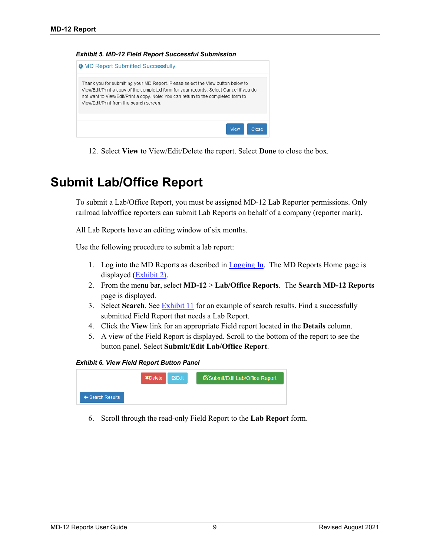<span id="page-10-1"></span>

12. Select **View** to View/Edit/Delete the report. Select **Done** to close the box.

#### <span id="page-10-0"></span>**Submit Lab/Office Report**

To submit a Lab/Office Report, you must be assigned MD-12 Lab Reporter permissions. Only railroad lab/office reporters can submit Lab Reports on behalf of a company (reporter mark).

All Lab Reports have an editing window of six months.

Use the following procedure to submit a lab report:

- 1. Log into the MD Reports as described in [Logging In.](#page-5-0) The MD Reports Home page is displayed [\(Exhibit 2\)](#page-6-2).
- 2. From the menu bar, select **MD-12** > **Lab/Office Reports**. The **Search MD-12 Reports** page is displayed.
- 3. Select **Search**. See [Exhibit 11](#page-14-1) for an example of search results. Find a successfully submitted Field Report that needs a Lab Report.
- 4. Click the **View** link for an appropriate Field report located in the **Details** column.
- 5. A view of the Field Report is displayed. Scroll to the bottom of the report to see the button panel. Select **Submit/Edit Lab/Office Report**.

<span id="page-10-2"></span>*Exhibit 6. View Field Report Button Panel*

|                             | <b>XDelete BEdit</b> | Submit/Edit Lab/Office Report |
|-----------------------------|----------------------|-------------------------------|
| $\leftarrow$ Search Results |                      |                               |

6. Scroll through the read-only Field Report to the **Lab Report** form.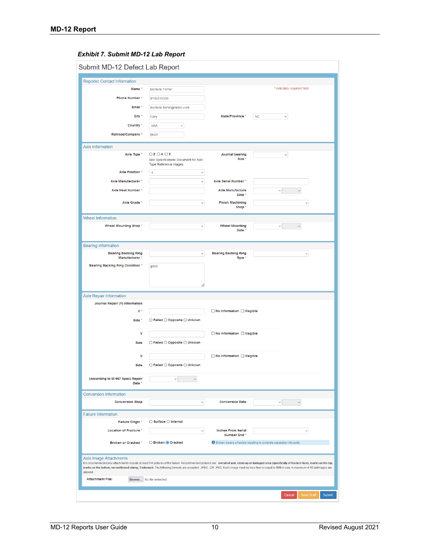#### <span id="page-11-0"></span>*Exhibit 7. Submit MD-12 Lab Report*

|                            | Submit MD-12 Defect Lab Report                                          |                                                               |                                           |                                                                                                                                                                                                                                                                                                                                                                                                           |
|----------------------------|-------------------------------------------------------------------------|---------------------------------------------------------------|-------------------------------------------|-----------------------------------------------------------------------------------------------------------------------------------------------------------------------------------------------------------------------------------------------------------------------------------------------------------------------------------------------------------------------------------------------------------|
|                            | <b>Reporter Contact Information</b>                                     |                                                               |                                           |                                                                                                                                                                                                                                                                                                                                                                                                           |
|                            | Name *                                                                  | Michelle Ferrar                                               |                                           | * Indicates required field                                                                                                                                                                                                                                                                                                                                                                                |
|                            | Phone Number*                                                           | 9196515395                                                    |                                           |                                                                                                                                                                                                                                                                                                                                                                                                           |
|                            | Email *                                                                 | michelle.ferrar@railinc.com                                   |                                           |                                                                                                                                                                                                                                                                                                                                                                                                           |
|                            | City *                                                                  | Cary                                                          | State/Province *                          | <b>NC</b><br>$\checkmark$                                                                                                                                                                                                                                                                                                                                                                                 |
|                            | Country *                                                               | <b>USA</b><br>$\checkmark$                                    |                                           |                                                                                                                                                                                                                                                                                                                                                                                                           |
|                            | Railroad/Company *                                                      | <b>BNSF</b>                                                   |                                           |                                                                                                                                                                                                                                                                                                                                                                                                           |
| <b>Axle Information</b>    |                                                                         |                                                               |                                           |                                                                                                                                                                                                                                                                                                                                                                                                           |
|                            | Axle Type *                                                             | 020405                                                        | <b>Journal bearing</b>                    | $\checkmark$                                                                                                                                                                                                                                                                                                                                                                                              |
|                            |                                                                         | See Specifications Document for Axle<br>Type Reference Images | Size '                                    |                                                                                                                                                                                                                                                                                                                                                                                                           |
|                            | <b>Axle Position *</b>                                                  | $\overline{4}$<br>$\checkmark$                                |                                           |                                                                                                                                                                                                                                                                                                                                                                                                           |
|                            | Axle Manufacturer *                                                     | $\checkmark$                                                  | Axle Serial Number *                      |                                                                                                                                                                                                                                                                                                                                                                                                           |
|                            | Axle Heat Number *                                                      |                                                               | <b>Axle Manufacture</b><br>Date *         | $\checkmark$<br>$\checkmark$                                                                                                                                                                                                                                                                                                                                                                              |
|                            | Axle Grade *                                                            | $\checkmark$                                                  | <b>Finish Machining</b>                   | $\checkmark$                                                                                                                                                                                                                                                                                                                                                                                              |
|                            |                                                                         |                                                               | Shop'                                     |                                                                                                                                                                                                                                                                                                                                                                                                           |
| <b>Wheel Information</b>   |                                                                         |                                                               |                                           |                                                                                                                                                                                                                                                                                                                                                                                                           |
|                            | Wheel Mounting Shop *                                                   | $\checkmark$                                                  | <b>Wheel Mounting</b><br>Date '           | $\check{~}$<br>$\check{~}$                                                                                                                                                                                                                                                                                                                                                                                |
|                            |                                                                         |                                                               |                                           |                                                                                                                                                                                                                                                                                                                                                                                                           |
| <b>Bearing Information</b> |                                                                         |                                                               |                                           |                                                                                                                                                                                                                                                                                                                                                                                                           |
|                            | <b>Bearing Backing Ring</b><br>Manufacturer *                           | $\checkmark$                                                  | <b>Bearing Backing Ring</b><br>Type '     | $\checkmark$                                                                                                                                                                                                                                                                                                                                                                                              |
|                            | <b>Bearing Backing Ring Condition *</b>                                 | good                                                          |                                           |                                                                                                                                                                                                                                                                                                                                                                                                           |
|                            |                                                                         |                                                               |                                           |                                                                                                                                                                                                                                                                                                                                                                                                           |
|                            |                                                                         |                                                               |                                           |                                                                                                                                                                                                                                                                                                                                                                                                           |
|                            |                                                                         |                                                               |                                           |                                                                                                                                                                                                                                                                                                                                                                                                           |
|                            | <b>Axle Repair Information</b><br><b>Journal Repair (V) Information</b> |                                                               |                                           |                                                                                                                                                                                                                                                                                                                                                                                                           |
|                            | v*                                                                      |                                                               | □ No Information □ Illegible              |                                                                                                                                                                                                                                                                                                                                                                                                           |
|                            | Side *                                                                  | $\bigcirc$ Failed $\bigcirc$ Opposite $\bigcirc$ Unkown       |                                           |                                                                                                                                                                                                                                                                                                                                                                                                           |
|                            |                                                                         |                                                               |                                           |                                                                                                                                                                                                                                                                                                                                                                                                           |
|                            | V                                                                       |                                                               | $\Box$ No Information $\Box$ Illegible    |                                                                                                                                                                                                                                                                                                                                                                                                           |
|                            | Side                                                                    | $\bigcirc$ Failed $\bigcirc$ Opposite $\bigcirc$ Unkown       |                                           |                                                                                                                                                                                                                                                                                                                                                                                                           |
|                            | v                                                                       |                                                               | □ No Information □ Illegible              |                                                                                                                                                                                                                                                                                                                                                                                                           |
|                            | <b>Side</b>                                                             | $\bigcirc$ Failed $\bigcirc$ Opposite $\bigcirc$ Unkown       |                                           |                                                                                                                                                                                                                                                                                                                                                                                                           |
|                            | (According to M-967 Spec) Repair                                        | $\check{~}$<br>$\checkmark$                                   |                                           |                                                                                                                                                                                                                                                                                                                                                                                                           |
|                            | Date *                                                                  |                                                               |                                           |                                                                                                                                                                                                                                                                                                                                                                                                           |
|                            | <b>Conversion Information</b>                                           |                                                               |                                           |                                                                                                                                                                                                                                                                                                                                                                                                           |
|                            | <b>Conversion Shop</b>                                                  | $\checkmark$                                                  | <b>Conversion Date</b>                    | $\checkmark$<br>$\checkmark$                                                                                                                                                                                                                                                                                                                                                                              |
| <b>Failure Information</b> |                                                                         |                                                               |                                           |                                                                                                                                                                                                                                                                                                                                                                                                           |
|                            | Failure Origin *                                                        | $\bigcirc$ Surface $\bigcirc$ Internal                        |                                           |                                                                                                                                                                                                                                                                                                                                                                                                           |
|                            | Location of Fracture *                                                  | $\checkmark$                                                  | <b>Inches From Serial</b><br>Number End * | $\checkmark$                                                                                                                                                                                                                                                                                                                                                                                              |
|                            | <b>Broken or Cracked *</b>                                              | ○ Broken ● Cracked                                            |                                           | <b>O</b> Broken means a fracture resulting in complete separation into parts.                                                                                                                                                                                                                                                                                                                             |
| allowed.                   | <b>Axle Image Attachments</b>                                           |                                                               |                                           | It is recommended your attachments include at least 5-6 pictures of the failure. Recommended pictures are: overall of axle, close-up of damaged area (specifically of fracture face), marks on the top,<br>marks on the bottom, reconditioned stamp, Trademark. The following formats are accepted: JPEG, .GIF, .PNG. Each image must be less than or equal to 5MB in size. A maximum of 15 lablmages are |
| <b>Attachment File:</b>    |                                                                         | Browse No file selected.                                      |                                           |                                                                                                                                                                                                                                                                                                                                                                                                           |
|                            |                                                                         |                                                               |                                           |                                                                                                                                                                                                                                                                                                                                                                                                           |
|                            |                                                                         |                                                               |                                           | Cancel<br>Save Draft<br>Submit                                                                                                                                                                                                                                                                                                                                                                            |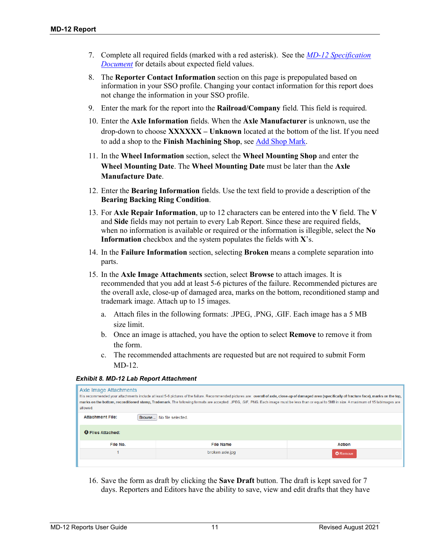- 7. Complete all required fields (marked with a red asterisk). See the *[MD-12 Specification](https://public.railinc.com/sites/default/files/documents/MD-12%20Spec%20Doc.xlsx)  [Document](https://public.railinc.com/sites/default/files/documents/MD-12%20Spec%20Doc.xlsx)* for details about expected field values.
- 8. The **Reporter Contact Information** section on this page is prepopulated based on information in your SSO profile. Changing your contact information for this report does not change the information in your SSO profile.
- 9. Enter the mark for the report into the **Railroad/Company** field. This field is required.
- 10. Enter the **Axle Information** fields. When the **Axle Manufacturer** is unknown, use the drop-down to choose **XXXXXX – Unknown** located at the bottom of the list. If you need to add a shop to the **Finish Machining Shop**, see [Add Shop Mark.](#page-17-0)
- 11. In the **Wheel Information** section, select the **Wheel Mounting Shop** and enter the **Wheel Mounting Date**. The **Wheel Mounting Date** must be later than the **Axle Manufacture Date**.
- 12. Enter the **Bearing Information** fields. Use the text field to provide a description of the **Bearing Backing Ring Condition**.
- 13. For **Axle Repair Information**, up to 12 characters can be entered into the **V** field. The **V** and **Side** fields may not pertain to every Lab Report. Since these are required fields, when no information is available or required or the information is illegible, select the **No Information** checkbox and the system populates the fields with **X**'s.
- 14. In the **Failure Information** section, selecting **Broken** means a complete separation into parts.
- 15. In the **Axle Image Attachments** section, select **Browse** to attach images. It is recommended that you add at least 5-6 pictures of the failure. Recommended pictures are the overall axle, close-up of damaged area, marks on the bottom, reconditioned stamp and trademark image. Attach up to 15 images.
	- a. Attach files in the following formats: .JPEG, .PNG, .GIF. Each image has a 5 MB size limit.
	- b. Once an image is attached, you have the option to select **Remove** to remove it from the form.
	- c. The recommended attachments are requested but are not required to submit Form MD-12.

<span id="page-12-0"></span>*Exhibit 8. MD-12 Lab Report Attachment*

| Axle Image Attachments<br>allowed. | It is recommended your attachments include at least 5-6 pictures of the failure. Recommended pictures are: overall of axle, close-up of damaged area (specifically of fracture face), marks on the top,<br>marks on the bottom, reconditioned stamp, Trademark. The following formats are accepted: JPEG, GIF, PNG. Each image must be less than or equal to 5MB in size. A maximum of 15 lablmages are |                 |
|------------------------------------|---------------------------------------------------------------------------------------------------------------------------------------------------------------------------------------------------------------------------------------------------------------------------------------------------------------------------------------------------------------------------------------------------------|-----------------|
| <b>Attachment File:</b>            | Browse No file selected.                                                                                                                                                                                                                                                                                                                                                                                |                 |
| <b>O</b> Files Attached:           |                                                                                                                                                                                                                                                                                                                                                                                                         |                 |
| File No.                           | <b>File Name</b>                                                                                                                                                                                                                                                                                                                                                                                        | <b>Action</b>   |
|                                    | broken axle.jpg                                                                                                                                                                                                                                                                                                                                                                                         | <b>O</b> Remove |

16. Save the form as draft by clicking the **Save Draft** button. The draft is kept saved for 7 days. Reporters and Editors have the ability to save, view and edit drafts that they have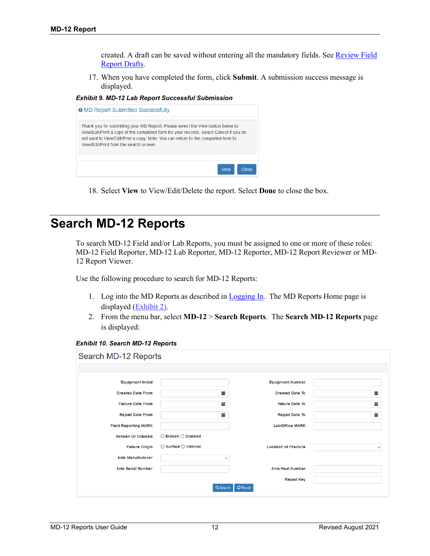created. A draft can be saved without entering all the mandatory fields. See Review Field [Report Drafts.](#page-16-0)

17. When you have completed the form, click **Submit**. A submission success message is displayed.

<span id="page-13-1"></span>*Exhibit 9. MD-12 Lab Report Successful Submission*

| <b>O</b> MD Report Submitted Successfully                                                                                                                                                                                                                                                                |                |
|----------------------------------------------------------------------------------------------------------------------------------------------------------------------------------------------------------------------------------------------------------------------------------------------------------|----------------|
| Thank you for submitting your MD Report. Please select the View button below to<br>View/Edit/Print a copy of the completed form for your records. Select Cancel if you do<br>not want to View/Edit/Print a copy. Note: You can return to the completed form to<br>View/Edit/Print from the search screen |                |
|                                                                                                                                                                                                                                                                                                          | View<br>Close. |

18. Select **View** to View/Edit/Delete the report. Select **Done** to close the box.

#### <span id="page-13-0"></span>**Search MD-12 Reports**

To search MD-12 Field and/or Lab Reports, you must be assigned to one or more of these roles: MD-12 Field Reporter, MD-12 Lab Reporter, MD-12 Reporter, MD-12 Report Reviewer or MD-12 Report Viewer.

Use the following procedure to search for MD-12 Reports:

- 1. Log into the MD Reports as described in [Logging In.](#page-5-0) The MD Reports Home page is displayed [\(Exhibit 2\)](#page-6-2).
- 2. From the menu bar, select **MD-12** > **Search Reports**. The **Search MD-12 Reports** page is displayed:

#### <span id="page-13-2"></span>*Exhibit 10. Search MD-12 Reports*

| <b>Equipment Initial</b>    |                                        |              | <b>Equipment Number</b>     |   |
|-----------------------------|----------------------------------------|--------------|-----------------------------|---|
| <b>Created Date From</b>    |                                        | Ħ            | <b>Created Date To</b>      | Ë |
| <b>Failure Date From</b>    |                                        | ≣            | failure Date To             | Ë |
| <b>Repair Date From</b>     |                                        | ≣            | <b>Repair Date To</b>       | ₩ |
| <b>Field Reporting MARK</b> |                                        |              | <b>Lab/Office MARK</b>      |   |
| <b>Broken Or Cracked</b>    | ○ Broken ○ Cracked                     |              |                             |   |
| <b>Failure Origin</b>       | $\bigcirc$ Surface $\bigcirc$ Internal |              | <b>Location of Fracture</b> |   |
| <b>Axle Manufacturer</b>    |                                        | $\checkmark$ |                             |   |
| <b>Axle Serial Number</b>   |                                        |              | <b>Axle Heat Number</b>     |   |
|                             |                                        |              | <b>Repair Key</b>           |   |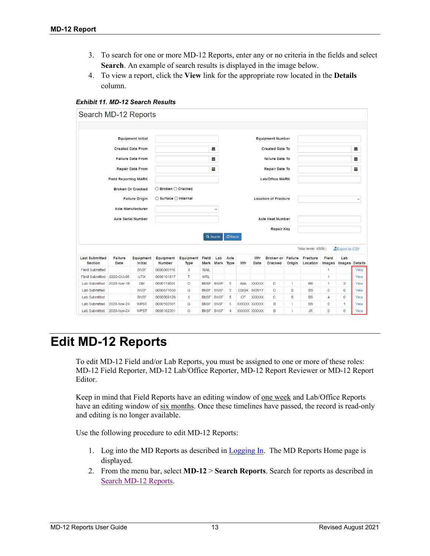- 3. To search for one or more MD-12 Reports, enter any or no criteria in the fields and select **Search**. An example of search results is displayed in the image below.
- 4. To view a report, click the **View** link for the appropriate row located in the **Details** column.

<span id="page-14-1"></span>*Exhibit 11. MD-12 Search Results*

| Search MD-12 Reports                                                                                                                                                |                          |                             |                                        |                   |               |                        |                             |             |                        |                                    |                   |                      |                 |                              |             |
|---------------------------------------------------------------------------------------------------------------------------------------------------------------------|--------------------------|-----------------------------|----------------------------------------|-------------------|---------------|------------------------|-----------------------------|-------------|------------------------|------------------------------------|-------------------|----------------------|-----------------|------------------------------|-------------|
|                                                                                                                                                                     |                          |                             |                                        |                   |               |                        |                             |             |                        |                                    |                   |                      |                 |                              |             |
|                                                                                                                                                                     |                          | <b>Equipment Initial</b>    |                                        |                   |               |                        |                             |             |                        | <b>Equipment Number</b>            |                   |                      |                 |                              |             |
| <b>Created Date From</b><br><b>Failure Date From</b><br><b>Repair Date From</b><br><b>Field Reporting MARK</b><br><b>Broken Or Cracked</b><br><b>Failure Origin</b> |                          | ₩<br>簠<br>≣                 |                                        |                   |               |                        |                             |             | <b>Created Date To</b> |                                    |                   |                      |                 | 臝                            |             |
|                                                                                                                                                                     |                          |                             |                                        |                   |               |                        |                             |             | failure Date To        |                                    |                   |                      |                 | 臝                            |             |
|                                                                                                                                                                     |                          |                             |                                        |                   |               | <b>Repair Date To</b>  |                             |             |                        |                                    |                   | 臝                    |                 |                              |             |
|                                                                                                                                                                     |                          |                             |                                        |                   |               | <b>Lab/Office MARK</b> |                             |             |                        |                                    |                   |                      |                 |                              |             |
|                                                                                                                                                                     |                          |                             | ○ Broken ○ Cracked                     |                   |               |                        |                             |             |                        |                                    |                   |                      |                 |                              |             |
|                                                                                                                                                                     |                          |                             | $\bigcirc$ Surface $\bigcirc$ Internal |                   |               |                        | <b>Location of Fracture</b> |             |                        |                                    |                   |                      |                 | $\check{~}$                  |             |
|                                                                                                                                                                     | <b>Axle Manufacturer</b> |                             | $\check{~}$                            |                   |               |                        |                             |             |                        |                                    |                   |                      |                 |                              |             |
|                                                                                                                                                                     |                          | <b>Axle Serial Number</b>   |                                        |                   |               |                        | <b>Axle Heat Number</b>     |             |                        |                                    |                   |                      |                 |                              |             |
|                                                                                                                                                                     |                          |                             |                                        |                   |               |                        |                             |             |                        | <b>Repair Key</b>                  |                   |                      |                 |                              |             |
|                                                                                                                                                                     |                          |                             |                                        |                   |               | Q Search               | $C$ Reset                   |             |                        |                                    |                   |                      |                 |                              |             |
|                                                                                                                                                                     |                          |                             |                                        |                   |               |                        |                             |             |                        |                                    |                   | Total items: 6338    |                 | 르Export to CSV               |             |
| <b>Last Submitted</b><br><b>Section</b>                                                                                                                             | <b>Failure</b><br>Date   | Equipment<br><b>Initial</b> | Equipment<br><b>Number</b>             | Equipment<br>Type | Field<br>Mark | Lab<br>Mark            | Axle<br>Type                | Mfr         | Mfr<br>Date            | <b>Broken or</b><br><b>Cracked</b> | Failure<br>Origin | Fracture<br>Location | Field<br>Images | Lab<br><b>Images Details</b> |             |
| <b>Field Submitted</b>                                                                                                                                              |                          | <b>BNSF</b>                 | 0000000116                             | X                 | <b>RAIL</b>   |                        |                             |             |                        |                                    |                   |                      | 1               |                              | <b>View</b> |
| <b>Field Submitted</b>                                                                                                                                              | 2020-Oct-05              | <b>UTIX</b>                 | 0000101517                             | T                 | <b>MRL</b>    |                        |                             |             |                        |                                    |                   |                      | 1               |                              | <b>View</b> |
| <b>Lab Submitted</b>                                                                                                                                                | 2020-Nov-16              | <b>DM</b>                   | 0000113001                             | $\Omega$          | <b>BNSF</b>   | <b>BNSF</b>            | 5                           | <b>Axis</b> | <b>XXXXXX</b>          | C                                  | T                 | <b>BS</b>            | $\mathbf{1}$    | $\overline{2}$               | View        |
| <b>Lab Submitted</b>                                                                                                                                                |                          | <b>BNSF</b>                 | 0000671000                             | G                 | <b>BNSF</b>   | <b>BNSF</b>            | $\overline{2}$              |             | CSGR 042017            | $\mathbf{C}$                       | s                 | <b>BS</b>            | $\mathbf 0$     | $\mathbf{0}$                 | View        |
| <b>Lab Submitted</b>                                                                                                                                                |                          | <b>BNSF</b>                 | 0000009128                             | x                 | <b>BNSF</b>   | <b>BNSF</b>            | 5                           | <b>CF</b>   | <b>XXXXXXX</b>         | c                                  | s                 | <b>BS</b>            | $\overline{4}$  | $\bf{0}$                     | <b>View</b> |
| <b>Lab Submitted</b>                                                                                                                                                | 2020-Nov-24              | <b>WPST</b>                 | 0000102301                             | G                 | <b>BNSF</b>   | <b>BNSF</b>            | 5                           |             | XXXXXX XXXXXX          | в                                  | I                 | <b>BS</b>            | $\mathbf 0$     | 1                            | <b>View</b> |
| <b>Lab Submitted</b>                                                                                                                                                | 2020-Nov-24              | <b>WPST</b>                 | 0000102301                             | G                 | <b>BNSF</b>   | <b>BNSF</b>            | $\overline{4}$              |             | XXXXXX XXXXXX          | B                                  | ı                 | <b>JR</b>            | $\mathbf 0$     | $\overline{0}$               | <b>View</b> |

#### <span id="page-14-0"></span>**Edit MD-12 Reports**

To edit MD-12 Field and/or Lab Reports, you must be assigned to one or more of these roles: MD-12 Field Reporter, MD-12 Lab/Office Reporter, MD-12 Report Reviewer or MD-12 Report Editor.

Keep in mind that Field Reports have an editing window of one week and Lab/Office Reports have an editing window of six months. Once these timelines have passed, the record is read-only and editing is no longer available.

Use the following procedure to edit MD-12 Reports:

- 1. Log into the MD Reports as described in [Logging In.](#page-5-0) The MD Reports Home page is displayed.
- 2. From the menu bar, select **MD-12** > **Search Reports**. Search for reports as described in [Search MD-12](#page-13-0) Reports.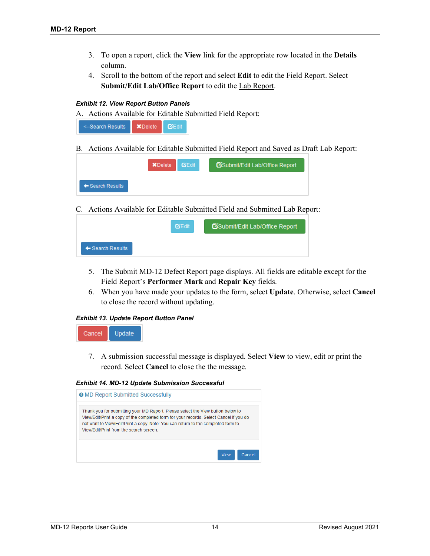- 3. To open a report, click the **View** link for the appropriate row located in the **Details** column.
- 4. Scroll to the bottom of the report and select **Edit** to edit the Field Report. Select **Submit/Edit Lab/Office Report** to edit the Lab Report.

#### <span id="page-15-0"></span>*Exhibit 12. View Report Button Panels*

|  |  |  |  |  | A. Actions Available for Editable Submitted Field Report: |
|--|--|--|--|--|-----------------------------------------------------------|
|--|--|--|--|--|-----------------------------------------------------------|

| <-Search Results | <b>XDelete</b> | <b>EXEdit</b> |
|------------------|----------------|---------------|
|------------------|----------------|---------------|

B. Actions Available for Editable Submitted Field Report and Saved as Draft Lab Report:

|                  | <b>XDelete <i>CEdit</i></b> | G'Submit/Edit Lab/Office Report |
|------------------|-----------------------------|---------------------------------|
| ← Search Results |                             |                                 |

C. Actions Available for Editable Submitted Field and Submitted Lab Report:

|                  | <b>ZEdit</b> | G'Submit/Edit Lab/Office Report |
|------------------|--------------|---------------------------------|
| ← Search Results |              |                                 |

- 5. The Submit MD-12 Defect Report page displays. All fields are editable except for the Field Report's **Performer Mark** and **Repair Key** fields.
- 6. When you have made your updates to the form, select **Update**. Otherwise, select **Cancel** to close the record without updating.

#### <span id="page-15-1"></span>*Exhibit 13. Update Report Button Panel*

Cancel Update

> 7. A submission successful message is displayed. Select **View** to view, edit or print the record. Select **Cancel** to close the the message.

#### <span id="page-15-2"></span>*Exhibit 14. MD-12 Update Submission Successful*

| <b>O</b> MD Report Submitted Successfully                                                                                                                                                                                                                                                                |
|----------------------------------------------------------------------------------------------------------------------------------------------------------------------------------------------------------------------------------------------------------------------------------------------------------|
| Thank you for submitting your MD Report. Please select the View button below to<br>View/Edit/Print a copy of the completed form for your records. Select Cancel if you do<br>not want to View/Edit/Print a copy. Note: You can return to the completed form to<br>View/Edit/Print from the search screen |
| <b>View</b><br>Cancel                                                                                                                                                                                                                                                                                    |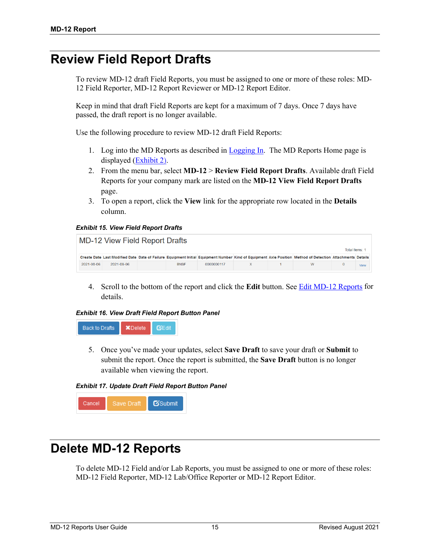#### <span id="page-16-0"></span>**Review Field Report Drafts**

To review MD-12 draft Field Reports, you must be assigned to one or more of these roles: MD-12 Field Reporter, MD-12 Report Reviewer or MD-12 Report Editor.

Keep in mind that draft Field Reports are kept for a maximum of 7 days. Once 7 days have passed, the draft report is no longer available.

Use the following procedure to review MD-12 draft Field Reports:

- 1. Log into the MD Reports as described in [Logging In.](#page-5-0) The MD Reports Home page is displayed [\(Exhibit 2\)](#page-6-2).
- 2. From the menu bar, select **MD-12** > **Review Field Report Drafts**. Available draft Field Reports for your company mark are listed on the **MD-12 View Field Report Drafts** page.
- 3. To open a report, click the **View** link for the appropriate row located in the **Details** column.

#### <span id="page-16-2"></span>*Exhibit 15. View Field Report Drafts*

| MD-12 View Field Report Drafts |            |  |             |            |  |  |                                                                                                                                                           |                |      |
|--------------------------------|------------|--|-------------|------------|--|--|-----------------------------------------------------------------------------------------------------------------------------------------------------------|----------------|------|
|                                |            |  |             |            |  |  |                                                                                                                                                           | Total Items: 1 |      |
|                                |            |  |             |            |  |  | Create Date Last Modified Date Date of Failure Equipment Initial Equipment Number Kind of Equipment Axle Position Method of Detection Attachments Details |                |      |
| 2021-08-06                     | 2021-08-06 |  | <b>BNSF</b> | 0000000117 |  |  | W                                                                                                                                                         |                | View |

4. Scroll to the bottom of the report and click the **Edit** button. See [Edit MD-12 Reports](#page-14-0) for details.

#### <span id="page-16-3"></span>*Exhibit 16. View Draft Field Report Button Panel*



5. Once you've made your updates, select **Save Draft** to save your draft or **Submit** to submit the report. Once the report is submitted, the **Save Draft** button is no longer available when viewing the report.

<span id="page-16-4"></span>



#### <span id="page-16-1"></span>**Delete MD-12 Reports**

To delete MD-12 Field and/or Lab Reports, you must be assigned to one or more of these roles: MD-12 Field Reporter, MD-12 Lab/Office Reporter or MD-12 Report Editor.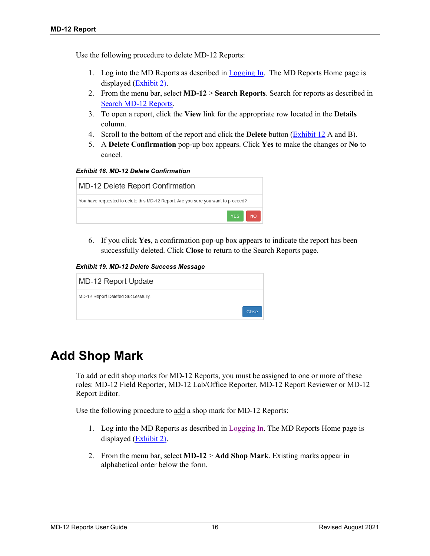Use the following procedure to delete MD-12 Reports:

- 1. Log into the MD Reports as described in [Logging In.](#page-5-0) The MD Reports Home page is displayed [\(Exhibit 2\)](#page-6-2).
- 2. From the menu bar, select **MD-12** > **Search Reports**. Search for reports as described in [Search MD-12](#page-13-0) Reports.
- 3. To open a report, click the **View** link for the appropriate row located in the **Details** column.
- 4. Scroll to the bottom of the report and click the **Delete** button [\(Exhibit 12](#page-15-0) A and B).
- 5. A **Delete Confirmation** pop-up box appears. Click **Yes** to make the changes or **No** to cancel.

<span id="page-17-1"></span>*Exhibit 18. MD-12 Delete Confirmation*

| <b>MD-12 Delete Report Confirmation</b>                                           |  |
|-----------------------------------------------------------------------------------|--|
| You have requested to delete this MD-12 Report. Are you sure you want to proceed? |  |
| YES NO                                                                            |  |

6. If you click **Yes**, a confirmation pop-up box appears to indicate the report has been successfully deleted. Click **Close** to return to the Search Reports page.

<span id="page-17-2"></span>*Exhibit 19. MD-12 Delete Success Message*

| MD-12 Report Update                |       |
|------------------------------------|-------|
| MD-12 Report Deleted Successfully. |       |
|                                    | Close |

### <span id="page-17-0"></span>**Add Shop Mark**

To add or edit shop marks for MD-12 Reports, you must be assigned to one or more of these roles: MD-12 Field Reporter, MD-12 Lab/Office Reporter, MD-12 Report Reviewer or MD-12 Report Editor.

Use the following procedure to add a shop mark for MD-12 Reports:

- 1. Log into the MD Reports as described in [Logging In.](#page-5-0) The MD Reports Home page is displayed [\(Exhibit 2\)](#page-6-2).
- 2. From the menu bar, select **MD-12** > **Add Shop Mark**. Existing marks appear in alphabetical order below the form.